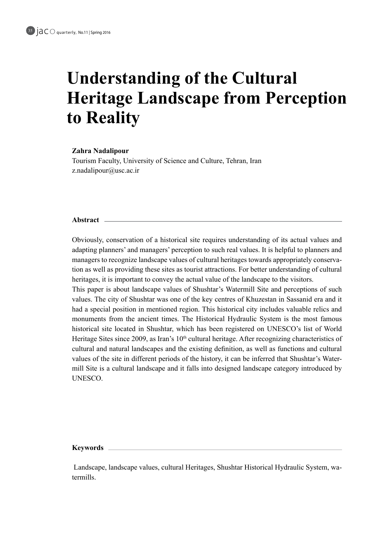# **Understanding of the Cultural Heritage Landscape from Perception** to **Reality**

#### **Nadalipour Zahra**

Tourism Faculty, University of Science and Culture, Tehran, Iran  $z$ .nadalipour@usc.ac.ir

### **Abstract**

Obviously, conservation of a historical site requires understanding of its actual values and adapting planners' and managers' perception to such real values. It is helpful to planners and tion as well as providing these sites as tourist attractions. For better understanding of cultural managers to recognize landscape values of cultural heritages towards appropriately conservaheritages, it is important to convey the actual value of the landscape to the visitors.

This paper is about landscape values of Shushtar's Watermill Site and perceptions of such values. The city of Shushtar was one of the key centres of Khuzestan in Sassanid era and it had a special position in mentioned region. This historical city includes valuable relics and monuments from the ancient times. The Historical Hydraulic System is the most famous historical site located in Shushtar, which has been registered on UNESCO's list of World Heritage Sites since 2009, as Iran's  $10<sup>th</sup>$  cultural heritage. After recognizing characteristics of cultural and natural landscapes and the existing definition, as well as functions and cultural mill Site is a cultural landscape and it falls into designed landscape category introduced by values of the site in different periods of the history, it can be inferred that Shushtar's Water-.UNESCO

#### **Keywords**

Landscape, landscape values, cultural Heritages, Shushtar Historical Hydraulic System, wa-<br>termills.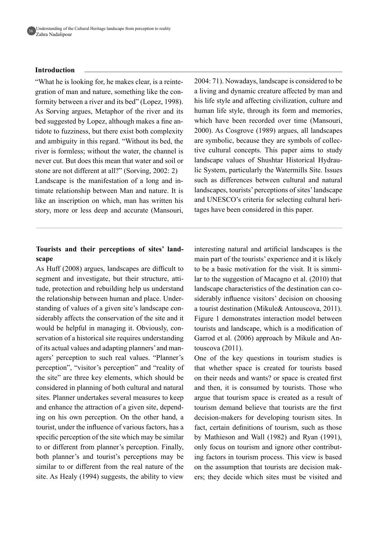

#### **Introduction**

formity between a river and its bed" (Lopez, 1998). gration of man and nature, something like the con-"What he is looking for, he makes clear, is a reinte-As Sorving argues, Metaphor of the river and its tidote to fuzziness, but there exist both complexity bed suggested by Lopez, although makes a fine anand ambiguity in this regard. "Without its bed, the river is formless: without the water, the channel is never cut. But does this mean that water and soil or stone are not different at all?" (Sorving,  $2002: 2$ ) timate relationship between Man and nature. It is Landscape is the manifestation of a long and inlike an inscription on which, man has written his story, more or less deep and accurate (Mansouri,

# Tourists and their perceptions of sites' land-<br>scape

As Huff (2008) argues, landscapes are difficult to tude, protection and rebuilding help us understand segment and investigate, but their structure, attistanding of values of a given site's landscape considerably affects the conservation of the site and it the relationship between human and place. Under-<br>standing of values of a given site's landscape conthe relationship between human and place. Underservation of a historical site requires understanding would be helpful in managing it. Obviously, conof its actual values and adapting planners' and man-<br>agers' perception to such real values. "Planner's perception", "visitor's perception" and "reality of the site" are three key elements, which should be considered in planning of both cultural and natural sites. Planner undertakes several measures to keep ing on his own perception. On the other hand, a and enhance the attraction of a given site, dependtourist, under the influence of various factors, has a specific perception of the site which may be similar to or different from planner's perception. Finally, both planner's and tourist's perceptions may be similar to or different from the real nature of the site. As Healy  $(1994)$  suggests, the ability to view

 $2004$ : 71). Nowadays, landscape is considered to be a living and dynamic creature affected by man and his life style and affecting civilization, culture and human life style, through its form and memories, which have been recorded over time (Mansouri,  $2000$ ). As Cosgrove (1989) argues, all landscapes tive cultural concepts. This paper aims to study are symbolic, because they are symbols of colleclandscape values of Shushtar Historical Hydrau-<br>lic System, particularly the Watermills Site. Issues such as differences between cultural and natural landscapes, tourists' perceptions of sites' landscape and UNESCO's criteria for selecting cultural heritages have been considered in this paper.

interesting natural and artificial landscapes is the main part of the tourists' experience and it is likely lar to the suggestion of Macagno et al.  $(2010)$  that to be a basic motivation for the visit. It is simmisiderably influence visitors' decision on choosing landscape characteristics of the destination can coa tourist destination (Mikule & Antouscova, 2011). Figure 1 demonstrates interaction model between tourists and landscape, which is a modification of Garrod et al. (2006) approach by Mikule and Antouscova (2011).

One of the key questions in tourism studies is that whether space is created for tourists based on their needs and wants? or space is created first and then, it is consumed by tourists. Those who argue that tourism space is created as a result of tourism demand believe that tourists are the first decision-makers for developing tourism sites. In fact, certain definitions of tourism, such as those by Mathieson and Wall  $(1982)$  and Ryan  $(1991)$ , ing factors in tourism process. This view is based only focus on tourism and ignore other contributers; they decide which sites must be visited and on the assumption that tourists are decision mak-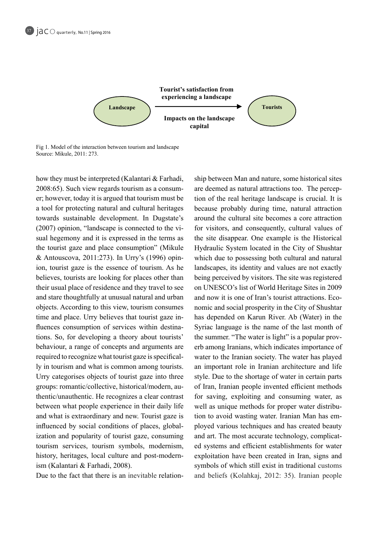

Fig 1. Model of the interaction between tourism and landscape Source: Mikule, 2011: 273.

how they must be interpreted (Kalantari  $&$  Farhadi, er; however, today it is argued that tourism must be  $2008:65$ ). Such view regards tourism as a consuma tool for protecting natural and cultural heritages towards sustainable development. In Dugstate's (2007) opinion, "landscape is connected to the visual hegemony and it is expressed in the terms as the tourist gaze and place consumption" (Mikule ion, tourist gaze is the essence of tourism. As he & Antouscova, 2011:273). In Urry's (1996) opinbelieves, tourists are looking for places other than their usual place of residence and they travel to see and stare thoughtfully at unusual natural and urban objects. According to this view, tourism consumes fluences consumption of services within destinations. So, for developing a theory about tourists' time and place. Urry believes that tourist gaze in-<br>fluences-consumption of services within destinatime and place. Urry believes that tourist gaze inbehaviour, a range of concepts and arguments are required to recognize what tourist gaze is specifical-<br>ly in tourism and what is common among tourists. Urry categorises objects of tourist gaze into three thentic/unauthentic. He recognizes a clear contrast groups: romantic/collective, historical/modern, aubetween what people experience in their daily life and what is extraordinary and new. Tourist gaze is ization and popularity of tourist gaze, consuming influenced by social conditions of places, globaltourism services, tourism symbols, modernism, history, heritages, local culture and post-modern-<br>ism (Kalantari & Farhadi, 2008).

Due to the fact that there is an inevitable relation-

ship between Man and nature, some historical sites<br>
in the real heritage landscape is crucial. It is<br>
because probably during time, natural attraction<br>
shown the cultural site becomes a core attraction<br>
for visitors, and c tion of the real heritage landscape is crucial. It is are deemed as natural attractions too. The percepbecause probably during time, natural attraction around the cultural site becomes a core attraction for visitors, and consequently, cultural values of the site disappear. One example is the Historical Hydraulic System located in the City of Shushtar which due to possessing both cultural and natural landscapes, its identity and values are not exactly being perceived by visitors. The site was registered on UNESCO's list of World Heritage Sites in 2009 nomic and social prosperity in the City of Shushtar and now it is one of Iran's tourist attractions. Ecohas depended on Karun River. Ab (Water) in the Syriac language is the name of the last month of erb among Iranians, which indicates importance of the summer. "The water is light" is a popular provwater to the Iranian society. The water has played an important role in Iranian architecture and life style. Due to the shortage of water in certain parts of Iran, Iranian people invented efficient methods for saving, exploiting and consuming water, as ployed various techniques and has created beauty tion to avoid wasting water. Iranian Man has emwell as unique methods for proper water distribued systems and efficient establishments for water and art. The most accurate technology, complicatexploitation have been created in Iran, signs and symbols of which still exist in traditional customs and beliefs (Kolahkaj, 2012: 35). Iranian people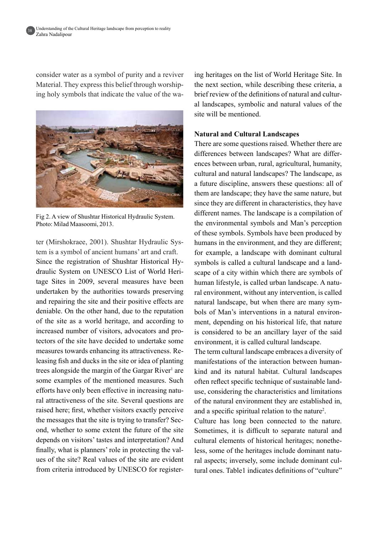38

consider water as a symbol of purity and a reviver Material. They express this belief through worship-<br>ing holy symbols that indicate the value of the wa-



Fig 2. A view of Shushtar Historical Hydraulic System. Photo: Milad Maasoomi, 2013.

tem is a symbol of ancient humans' art and craft. ter (Mirshokraee, 2001). Shushtar Hydraulic Systage Sites in 2009, several measures have been draulic System on UNESCO List of World Heri-Since the registration of Shushtar Historical Hyundertaken by the authorities towards preserving and repairing the site and their positive effects are deniable. On the other hand, due to the reputation of the site as a world heritage, and according to tectors of the site have decided to undertake some increased number of visitors, advocators and proleasing fish and ducks in the site or idea of plantingmeasures towards enhancing its attractiveness. Retrees alongside the margin of the Gargar River<sup>1</sup> are some examples of the mentioned measures. Such ral attractiveness of the site. Several questions are efforts have only been effective in increasing naturaised here; first, whether visitors exactly perceive ond, whether to some extent the future of the site the messages that the site is trying to transfer? Secdepends on visitors' tastes and interpretation? And ues of the site? Real values of the site are evident finally, what is planners' role in protecting the valfrom criteria introduced by UNESCO for registerthe next section, while describing these criteria, a al landscapes, symbolic and natural values of the brief review of the definitions of natural and cultursite will be mentioned.

#### **Natural and Cultural Landscapes**

T ing heritages on the list of World Heritage Site. In<br>
- the reat section, while describing these criteria, a<br>
- brief review of the definitions of natural values of the<br>
site will be mentioned.<br>
Natural and Cultural Land There are some questions raised. Whether there are ences between urban, rural, agricultural, humanity, differences between landscapes? What are differcultural and natural landscapes? The landscape, as a future discipline, answers these questions: all of them are landscape; they have the same nature, but since they are different in characteristics, they have different names. The landscape is a compilation of the environmental symbols and Man's perception of these symbols. Symbols have been produced by humans in the environment, and they are different; for example, a landscape with dominant cultural scape of a city within which there are symbols of symbols is called a cultural landscape and a landral environment, without any intervention, is called human lifestyle, is called urban landscape. A natubols of Man's interventions in a natural environment, depending on his historical life, that nature natural landscape, but when there are many symbols of Man's interventions in a natural environis considered to be an ancillary layer of the said environment, it is called cultural landscape.

The term cultural landscape embraces a diversity of kind and its natural habitat. Cultural landscapes manifestations of the interaction between humanuse, considering the characteristics and limitations often reflect specific technique of sustainable landof the natural environment they are established in, and a specific spiritual relation to the nature<sup>2</sup>.

Culture has long been connected to the nature. Sometimes, it is difficult to separate natural and ral aspects; inversely, some include dominant cultural ones Table 1 indicates definitions of "culture" less, some of the heritages include dominant natural aspects; inversely, some include dominant culcultural elements of historical heritages; nonethe-<br>less, some of the heritages include dominant natucultural elements of historical heritages; nonethe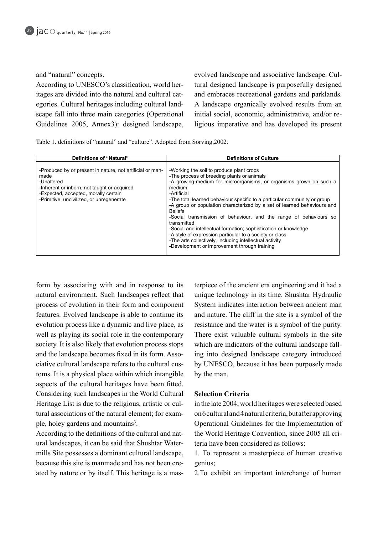and "natural" concepts.

scape fall into three main categories (Operational egories. Cultural heritages including cultural landitages are divided into the natural and cultural cat-According to UNESCO's classification, world her-Guidelines 2005, Annex 3): designed landscape, tural designed landscape is purposefully designed evolved landscape and associative landscape. Culand embraces recreational gardens and parklands. A landscape organically evolved results from an ligious imperative and has developed its present initial social, economic, administrative, and/or re-

Table 1. definitions of "natural" and "culture". Adopted from Sorving, 2002.

| Definitions of "Natural"                                                                                                                                                                                           | <b>Definitions of Culture</b>                                                                                                                                                                                                                                                                                                                                                                                                                                                                                                                                                                                                                                                               |
|--------------------------------------------------------------------------------------------------------------------------------------------------------------------------------------------------------------------|---------------------------------------------------------------------------------------------------------------------------------------------------------------------------------------------------------------------------------------------------------------------------------------------------------------------------------------------------------------------------------------------------------------------------------------------------------------------------------------------------------------------------------------------------------------------------------------------------------------------------------------------------------------------------------------------|
| -Produced by or present in nature, not artificial or man-<br>made<br>-Unaltered<br>-Inherent or inborn, not taught or acquired<br>-Expected, accepted, morally certain<br>-Primitive, uncivilized, or unregenerate | -Working the soil to produce plant crops<br>-The process of breeding plants or animals<br>-A growing-medium for microorganisms, or organisms grown on such a<br>medium<br>-Artificial<br>-The total learned behaviour specific to a particular community or group<br>-A group or population characterized by a set of learned behaviours and<br><b>Beliefs</b><br>-Social transmission of behaviour, and the range of behaviours so<br>transmitted<br>-Social and intellectual formation; sophistication or knowledge<br>-A style of expression particular to a society or class<br>-The arts collectively, including intellectual activity<br>-Development or improvement through training |

form by associating with and in response to its natural environment. Such landscapes reflect that process of evolution in their form and component features. Evolved landscape is able to continue its evolution process like a dynamic and live place, as well as playing its social role in the contemporary society. It is also likely that evolution process stops toms. It is a physical place within which intangible ciative cultural landscape refers to the cultural cusand the landscape becomes fixed in its form. Assoaspects of the cultural heritages have been fitted. Considering such landscapes in the World Cultural tural associations of the natural element; for exam-<br>ple, holey gardens and mountains<sup>3</sup>. Heritage List is due to the religious, artistic or cul-<br>tural associations of the natural element; for exam-Heritage List is due to the religious, artistic or culple, holey gardens and mountains<sup>3</sup>.

mills Site possesses a dominant cultural landscape, ural landscapes, it can be said that Shushtar Water-According to the definitions of the cultural and natated by nature or by itself. This heritage is a masbecause this site is manmade and has not been cre-

terpiece of the ancient era engineering and it had a<br>
unique technology in its time. Shushtar Hydraulic<br>
System indicates interaction between ancient man<br>
and nature. The cliff in the site is a symbol of the<br>
resistance an unique technology in its time. Shushtar Hydraulic System indicates interaction between ancient man and nature. The cliff in the site is a symbol of the resistance and the water is a symbol of the purity. There exist valuable cultural symbols in the site ing into designed landscape category introduced which are indicators of the cultural landscape fallby UNESCO, because it has been purposely made by the man.

# **Selection Criteria**

in the late 2004, world heritages were selected based on 6 cultural and 4 natural criteria, but after approving Operational Guidelines for the Implementation of the World Heritage Convention, since 2005 all criteria have been considered as follows:

1. To represent a masterpiece of human creative genius:

2. To exhibit an important interchange of human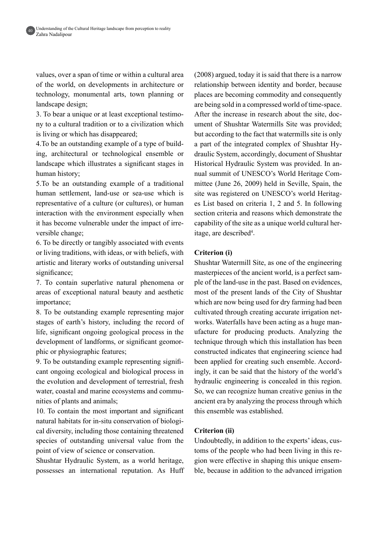values, over a span of time or within a cultural area of the world, on developments in architecture or technology, monumental arts, town planning or landscape design;

3. To bear a unique or at least exceptional testimo-<br>ny to a cultural tradition or to a civilization which is living or which has disappeared;

ing, architectural or technological ensemble or 4. To be an outstanding example of a type of buildlandscape which illustrates a significant stages in human history;

5. To be an outstanding example of a traditional human settlement, land-use or sea-use which is representative of a culture (or cultures), or human interaction with the environment especially when it has become vulnerable under the impact of irreversible change;

6. To be directly or tangibly associated with events or living traditions, with ideas, or with beliefs, with artistic and literary works of outstanding universal significance;

7. To contain superlative natural phenomena or areas of exceptional natural beauty and aesthetic importance;

8. To be outstanding example representing major stages of earth's history, including the record of life, significant ongoing geological process in the development of landforms, or significant geomor-<br>phic or physiographic features;

cant ongoing ecological and biological process in 9. To be outstanding example representing signifithe evolution and development of terrestrial, fresh water, coastal and marine ecosystems and communities of plants and animals;

10. To contain the most important and significant cal diversity, including those containing threatened natural habitats for in-situ conservation of biologispecies of outstanding universal value from the point of view of science or conservation.

Shushtar Hydraulic System, as a world heritage, possesses an international reputation. As Huff  $(2008)$  argued, today it is said that there is a narrow relationship between identity and border, because places are becoming commodity and consequently are being sold in a compressed world of time-space. ument of Shushtar Watermills Site was provided; After the increase in research about the site, docbut according to the fact that watermills site is only draulic System, accordingly, document of Shushtar a part of the integrated complex of Shushtar Hymittee (June  $26$ ,  $2009$ ) held in Seville, Spain, the nual summit of UNESCO's World Heritage Com-Historical Hydraulic System was provided. In ansite was registered on UNESCO's world Heritages List based on criteria 1, 2 and 5. In following section criteria and reasons which demonstrate the capability of the site as a unique world cultural heritage, are described<sup>4</sup>. itage, are described<sup>4</sup>.

# **Criterion** (i)

Shushtar Watermill Site, as one of the engineering ple of the land-use in the past. Based on evidences, masterpieces of the ancient world, is a perfect sammost of the present lands of the City of Shushtar which are now being used for dry farming had been ufacture for producing products. Analyzing the works. Waterfalls have been acting as a huge mancultivated through creating accurate irrigation nettechnique through which this installation has been constructed indicates that engineering science had ingly, it can be said that the history of the world's been applied for creating such ensemble. Accordhydraulic engineering is concealed in this region. So, we can recognize human creative genius in the ancient era by analyzing the process through which this ensemble was established.

#### **Criterion** (ii)

ble, because in addition to the advanced irrigation gion were effective in shaping this unique ensemtoms of the people who had been living in this re-Undoubtedly, in addition to the experts' ideas, cus-

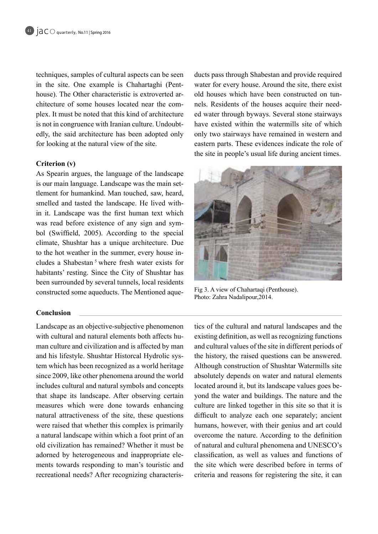techniques, samples of cultural aspects can be seen plex. It must be noted that this kind of architecture house). The Other characteristic is extroverted architecture of some houses located near the comin the site. One example is Chahartaghi (Pent-<br>house). The Other characteristic is extroverted aredly, the said architecture has been adopted only is not in congruence with Iranian culture. Undoubtfor looking at the natural view of the site.

# **Criterion** (v)

As Spearin argues, the language of the landscape tlement for humankind. Man touched, saw, heard, is our main language. Landscape was the main setin it. Landscape was the first human text which smelled and tasted the landscape. He lived withbol (Swiffield, 2005). According to the special was read before existence of any sign and symclimate, Shushtar has a unique architecture. Due cludes a Shabestan<sup>5</sup> where fresh water exists for to the hot weather in the summer, every house inhabitants' resting. Since the City of Shushtar has been surrounded by several tunnels, local residents constructed some aqueducts. The Mentioned aque-<br> $\frac{Fig 3. A view of Chahartagi (Penthouse)}{1 + 1 + 2 + 3 + 4}$ .

#### **Conclusion**

Landscape as an objective-subjective phenomenon man culture and civilization and is affected by manwith cultural and natural elements both affects hutem which has been recognized as a world heritage and his lifestyle. Shushtar Historcal Hydrolic syssince 2009, like other phenomena around the world includes cultural and natural symbols and concepts that shape its landscape. After observing certain measures which were done towards enhancing natural attractiveness of the site, these questions were raised that whether this complex is primarily a natural landscape within which a foot print of an old civilization has remained? Whether it must be ments towards responding to man's touristic and adorned by heterogeneous and inappropriate elerecreational needs? After recognizing characterisducts pass through Shabestan and provide required water for every house. Around the site, there exist ed water through byways. Several stone stairways nels. Residents of the houses acquire their needold houses which have been constructed on tunhave existed within the watermills site of which only two stairways have remained in western and eastern parts. These evidences indicate the role of the site in people's usual life during ancient times.



Photo: Zahra Nadalipour 2014.

tics of the cultural and natural landscapes and the<br>existing definition, as well as recognizing functions<br>and cultural values of the site in different periods of<br>the history, the raised questions can be answered.<br>Although existing definition, as well as recognizing functions and cultural values of the site in different periods of the history, the raised questions can be answered. Although construction of Shushtar Watermills site absolutely depends on water and natural elements yond the water and buildings. The nature and the located around it, but its landscape values goes beculture are linked together in this site so that it is difficult to analyze each one separately; ancient humans, however, with their genius and art could overcome the nature. According to the definition of natural and cultural phenomena and UNESCO's classification, as well as values and functions of the site which were described before in terms of criteria and reasons for registering the site, it can